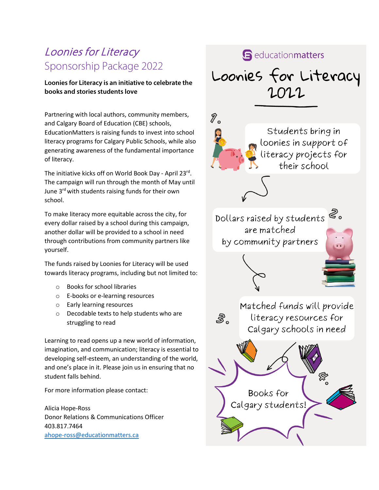## Loonies for Literacy Sponsorship Package 2022

#### **Loonies for Literacy is an initiative to celebrate the books and stories students love**

Partnering with local authors, community members, and Calgary Board of Education (CBE) schools, EducationMatters is raising funds to invest into school literacy programs for Calgary Public Schools, while also generating awareness of the fundamental importance of literacy.

The initiative kicks off on World Book Day - April 23rd. The campaign will run through the month of May until June 3<sup>rd</sup> with students raising funds for their own school.

To make literacy more equitable across the city, for every dollar raised by a school during this campaign, another dollar will be provided to a school in need through contributions from community partners like yourself.

The funds raised by Loonies for Literacy will be used towards literacy programs, including but not limited to:

- o Books for school libraries
- o E-books or e-learning resources
- o Early learning resources
- o Decodable texts to help students who are struggling to read

Learning to read opens up a new world of information, imagination, and communication; literacy is essential to developing self-esteem, an understanding of the world, and one's place in it. Please join us in ensuring that no student falls behind.

For more information please contact:

Alicia Hope-Ross Donor Relations & Communications Officer 403.817.7464 [ahope-ross@educationmatters.ca](mailto:ahope-ross@educationmatters.ca)

### **S** education matters

# Loonies for Literacy 2022

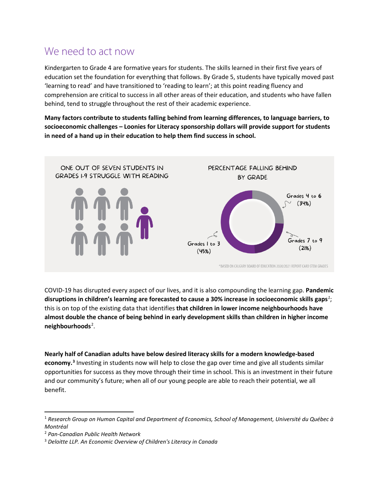## We need to act now

Kindergarten to Grade 4 are formative years for students. The skills learned in their first five years of education set the foundation for everything that follows. By Grade 5, students have typically moved past 'learning to read' and have transitioned to 'reading to learn'; at this point reading fluency and comprehension are critical to success in all other areas of their education, and students who have fallen behind, tend to struggle throughout the rest of their academic experience.

**Many factors contribute to students falling behind from learning differences, to language barriers, to socioeconomic challenges – Loonies for Literacy sponsorship dollars will provide support for students in need of a hand up in their education to help them find success in school.**



COVID-19 has disrupted every aspect of our lives, and it is also compounding the learning gap. **Pandemic disruptions in children's learning are forecasted to cause a 30% increase in socioeconomic skills gaps***[1](#page-1-0)* ; this is on top of the existing data that identifies **that children in lower income neighbourhoods have almost double the chance of being behind in early development skills than children in higher income neighbourhoods**[2](#page-1-1) .

**Nearly half of Canadian adults have below desired literacy skills for a modern knowledge-based economy[.3](#page-1-2)** Investing in students now will help to close the gap over time and give all students similar opportunities for success as they move through their time in school. This is an investment in their future and our community's future; when all of our young people are able to reach their potential, we all benefit.

<span id="page-1-0"></span><sup>1</sup> *Research Group on Human Capital and Department of Economics, School of Management, Université du Québec à Montréal*

<span id="page-1-1"></span><sup>2</sup> *Pan-Canadian Public Health Network*

<span id="page-1-2"></span><sup>3</sup> *Deloitte LLP. An Economic Overview of Children's Literacy in Canada*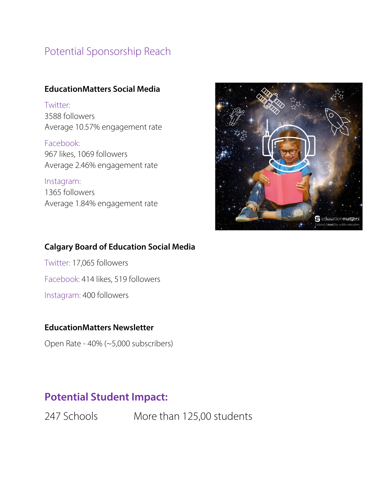## Potential Sponsorship Reach

#### **EducationMatters Social Media**

Twitter: 3588 followers Average 10.57% engagement rate

Facebook: 967 likes, 1069 followers Average 2.46% engagement rate

Instagram: 1365 followers Average 1.84% engagement rate



### **Calgary Board of Education Social Media**

Twitter: 17,065 followers Facebook: 414 likes, 519 followers Instagram: 400 followers

#### **EducationMatters Newsletter**

Open Rate - 40% (~5,000 subscribers)

## **Potential Student Impact:**

247 Schools More than 125,00 students